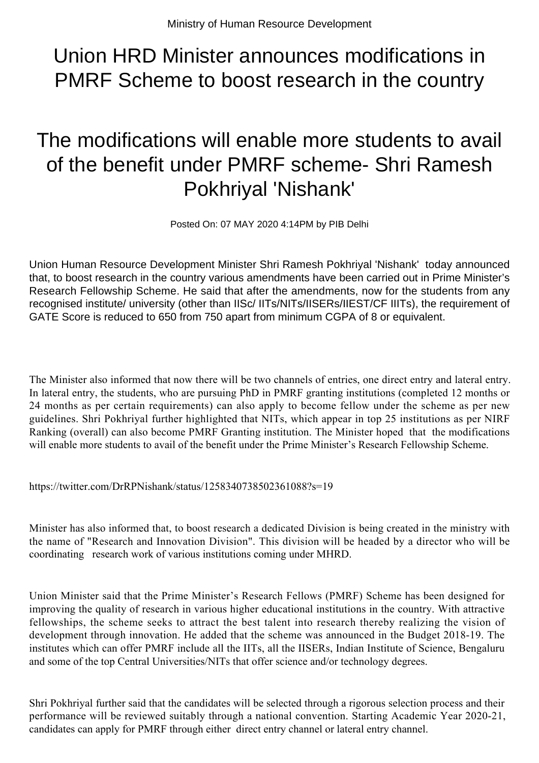## Union HRD Minister announces modifications in PMRF Scheme to boost research in the country

## The modifications will enable more students to avail of the benefit under PMRF scheme- Shri Ramesh Pokhriyal 'Nishank'

Posted On: 07 MAY 2020 4:14PM by PIB Delhi

Union Human Resource Development Minister Shri Ramesh Pokhriyal 'Nishank' today announced that, to boost research in the country various amendments have been carried out in Prime Minister's Research Fellowship Scheme. He said that after the amendments, now for the students from any recognised institute/ university (other than IISc/ IITs/NITs/IISERs/IIEST/CF IIITs), the requirement of GATE Score is reduced to 650 from 750 apart from minimum CGPA of 8 or equivalent.

The Minister also informed that now there will be two channels of entries, one direct entry and lateral entry. In lateral entry, the students, who are pursuing PhD in PMRF granting institutions (completed 12 months or 24 months as per certain requirements) can also apply to become fellow under the scheme as per new guidelines. Shri Pokhriyal further highlighted that NITs, which appear in top 25 institutions as per NIRF Ranking (overall) can also become PMRF Granting institution. The Minister hoped that the modifications will enable more students to avail of the benefit under the Prime Minister's Research Fellowship Scheme.

https://twitter.com/DrRPNishank/status/1258340738502361088?s=19

Minister has also informed that, to boost research a dedicated Division is being created in the ministry with the name of "Research and Innovation Division". This division will be headed by a director who will be coordinating research work of various institutions coming under MHRD.

Union Minister said that the Prime Minister's Research Fellows (PMRF) Scheme has been designed for improving the quality of research in various higher educational institutions in the country. With attractive fellowships, the scheme seeks to attract the best talent into research thereby realizing the vision of development through innovation. He added that the scheme was announced in the Budget 2018-19. The institutes which can offer PMRF include all the IITs, all the IISERs, Indian Institute of Science, Bengaluru and some of the top Central Universities/NITs that offer science and/or technology degrees.

Shri Pokhriyal further said that the candidates will be selected through a rigorous selection process and their performance will be reviewed suitably through a national convention. Starting Academic Year 2020-21, candidates can apply for PMRF through either direct entry channel or lateral entry channel.